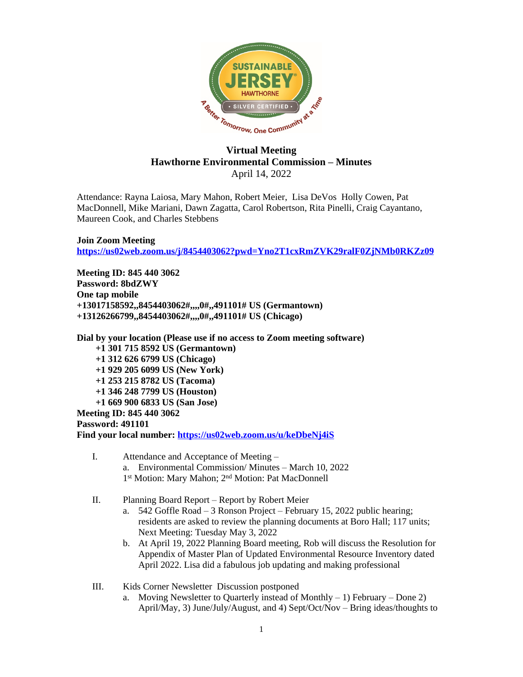

## **Virtual Meeting Hawthorne Environmental Commission – Minutes** April 14, 2022

Attendance: Rayna Laiosa, Mary Mahon, Robert Meier, Lisa DeVos Holly Cowen, Pat MacDonnell, Mike Mariani, Dawn Zagatta, Carol Robertson, Rita Pinelli, Craig Cayantano, Maureen Cook, and Charles Stebbens

**Join Zoom Meeting <https://us02web.zoom.us/j/8454403062?pwd=Yno2T1cxRmZVK29ralF0ZjNMb0RKZz09>**

**Meeting ID: 845 440 3062 Password: 8bdZWY One tap mobile +13017158592,,8454403062#,,,,0#,,491101# US (Germantown) +13126266799,,8454403062#,,,,0#,,491101# US (Chicago)**

**Dial by your location (Please use if no access to Zoom meeting software) +1 301 715 8592 US (Germantown) +1 312 626 6799 US (Chicago) +1 929 205 6099 US (New York) +1 253 215 8782 US (Tacoma) +1 346 248 7799 US (Houston) +1 669 900 6833 US (San Jose) Meeting ID: 845 440 3062 Password: 491101**

**Find your local number: <https://us02web.zoom.us/u/keDbeNj4iS>**

- I. Attendance and Acceptance of Meeting a. Environmental Commission/ Minutes – March 10, 2022 1<sup>st</sup> Motion: Mary Mahon; 2<sup>nd</sup> Motion: Pat MacDonnell
- II. Planning Board Report Report by Robert Meier
	- a. 542 Goffle Road 3 Ronson Project February 15, 2022 public hearing; residents are asked to review the planning documents at Boro Hall; 117 units; Next Meeting: Tuesday May 3, 2022
	- b. At April 19, 2022 Planning Board meeting, Rob will discuss the Resolution for Appendix of Master Plan of Updated Environmental Resource Inventory dated April 2022. Lisa did a fabulous job updating and making professional
- III. Kids Corner Newsletter Discussion postponed
	- a. Moving Newsletter to Quarterly instead of Monthly  $-1$ ) February Done 2) April/May, 3) June/July/August, and 4) Sept/Oct/Nov – Bring ideas/thoughts to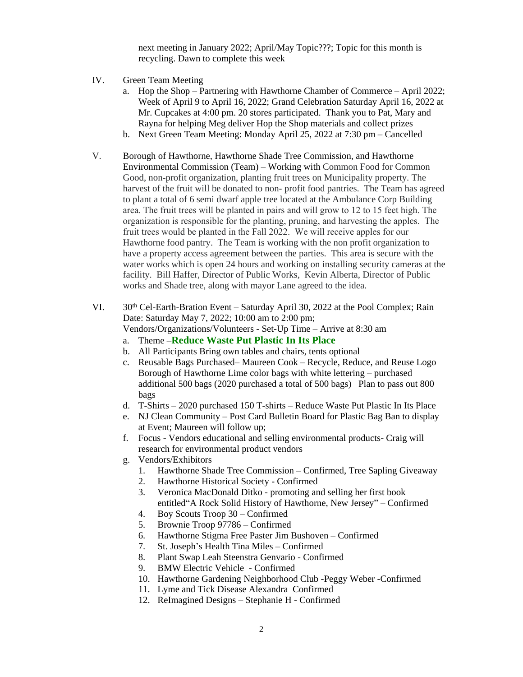next meeting in January 2022; April/May Topic???; Topic for this month is recycling. Dawn to complete this week

- IV. Green Team Meeting
	- a. Hop the Shop Partnering with Hawthorne Chamber of Commerce April 2022; Week of April 9 to April 16, 2022; Grand Celebration Saturday April 16, 2022 at Mr. Cupcakes at 4:00 pm. 20 stores participated. Thank you to Pat, Mary and Rayna for helping Meg deliver Hop the Shop materials and collect prizes
	- b. Next Green Team Meeting: Monday April 25, 2022 at 7:30 pm Cancelled
- V. Borough of Hawthorne, Hawthorne Shade Tree Commission, and Hawthorne Environmental Commission (Team) – Working with Common Food for Common Good, non-profit organization, planting fruit trees on Municipality property. The harvest of the fruit will be donated to non- profit food pantries. The Team has agreed to plant a total of 6 semi dwarf apple tree located at the Ambulance Corp Building area. The fruit trees will be planted in pairs and will grow to 12 to 15 feet high. The organization is responsible for the planting, pruning, and harvesting the apples. The fruit trees would be planted in the Fall 2022. We will receive apples for our Hawthorne food pantry. The Team is working with the non profit organization to have a property access agreement between the parties. This area is secure with the water works which is open 24 hours and working on installing security cameras at the facility. Bill Haffer, Director of Public Works, Kevin Alberta, Director of Public works and Shade tree, along with mayor Lane agreed to the idea.
- VI.  $30<sup>th</sup>$  Cel-Earth-Bration Event Saturday April 30, 2022 at the Pool Complex; Rain Date: Saturday May 7, 2022; 10:00 am to 2:00 pm; Vendors/Organizations/Volunteers - Set-Up Time – Arrive at 8:30 am
	- a. Theme –**Reduce Waste Put Plastic In Its Place**
	- b. All Participants Bring own tables and chairs, tents optional
	- c. Reusable Bags Purchased– Maureen Cook Recycle, Reduce, and Reuse Logo Borough of Hawthorne Lime color bags with white lettering – purchased additional 500 bags (2020 purchased a total of 500 bags) Plan to pass out 800 bags
	- d. T-Shirts 2020 purchased 150 T-shirts Reduce Waste Put Plastic In Its Place
	- e. NJ Clean Community Post Card Bulletin Board for Plastic Bag Ban to display at Event; Maureen will follow up;
	- f. Focus Vendors educational and selling environmental products- Craig will research for environmental product vendors
	- g. Vendors/Exhibitors
		- 1. Hawthorne Shade Tree Commission Confirmed, Tree Sapling Giveaway
		- 2. Hawthorne Historical Society Confirmed
		- 3. Veronica MacDonald Ditko promoting and selling her first book entitled"A Rock Solid History of Hawthorne, New Jersey" – Confirmed
		- 4. Boy Scouts Troop 30 Confirmed
		- 5. Brownie Troop 97786 Confirmed
		- 6. Hawthorne Stigma Free Paster Jim Bushoven Confirmed
		- 7. St. Joseph's Health Tina Miles Confirmed
		- 8. Plant Swap Leah Steenstra Genvario Confirmed
		- 9. BMW Electric Vehicle Confirmed
		- 10. Hawthorne Gardening Neighborhood Club -Peggy Weber -Confirmed
		- 11. Lyme and Tick Disease Alexandra Confirmed
		- 12. ReImagined Designs Stephanie H Confirmed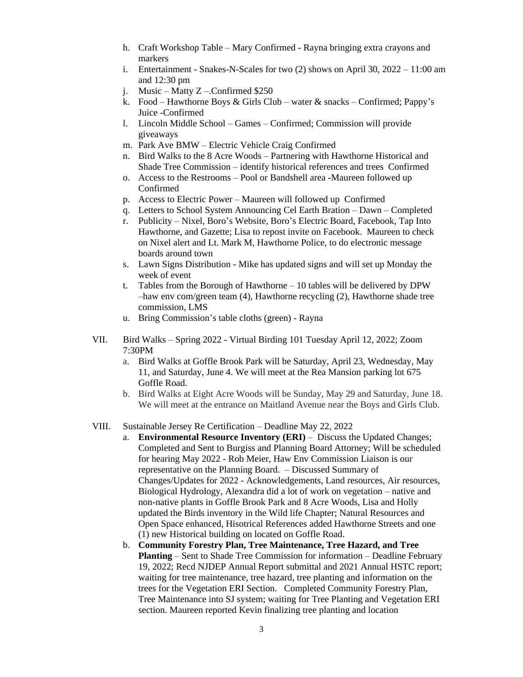- h. Craft Workshop Table Mary Confirmed Rayna bringing extra crayons and markers
- i. Entertainment Snakes-N-Scales for two  $(2)$  shows on April 30,  $2022 11:00$  am and 12:30 pm
- j. Music Matty Z –.Confirmed \$250
- k. Food Hawthorne Boys & Girls Club water & snacks Confirmed; Pappy's Juice -Confirmed
- l. Lincoln Middle School Games Confirmed; Commission will provide giveaways
- m. Park Ave BMW Electric Vehicle Craig Confirmed
- n. Bird Walks to the 8 Acre Woods Partnering with Hawthorne Historical and Shade Tree Commission – identify historical references and trees Confirmed
- o. Access to the Restrooms Pool or Bandshell area -Maureen followed up Confirmed
- p. Access to Electric Power Maureen will followed up Confirmed
- q. Letters to School System Announcing Cel Earth Bration Dawn Completed
- r. Publicity Nixel, Boro's Website, Boro's Electric Board, Facebook, Tap Into Hawthorne, and Gazette; Lisa to repost invite on Facebook. Maureen to check on Nixel alert and Lt. Mark M, Hawthorne Police, to do electronic message boards around town
- s. Lawn Signs Distribution Mike has updated signs and will set up Monday the week of event
- t. Tables from the Borough of Hawthorne 10 tables will be delivered by DPW –haw env com/green team (4), Hawthorne recycling (2), Hawthorne shade tree commission, LMS
- u. Bring Commission's table cloths (green) Rayna
- VII. Bird Walks Spring 2022 Virtual Birding 101 Tuesday April 12, 2022; Zoom 7:30PM
	- a. Bird Walks at Goffle Brook Park will be Saturday, April 23, Wednesday, May 11, and Saturday, June 4. We will meet at the Rea Mansion parking lot 675 Goffle Road.
	- b. Bird Walks at Eight Acre Woods will be Sunday, May 29 and Saturday, June 18. We will meet at the entrance on Maitland Avenue near the Boys and Girls Club.

## VIII. Sustainable Jersey Re Certification – Deadline May 22, 2022

- a. **Environmental Resource Inventory (ERI)** Discuss the Updated Changes; Completed and Sent to Burgiss and Planning Board Attorney; Will be scheduled for hearing May 2022 - Rob Meier, Haw Env Commission Liaison is our representative on the Planning Board. – Discussed Summary of Changes/Updates for 2022 - Acknowledgements, Land resources, Air resources, Biological Hydrology, Alexandra did a lot of work on vegetation – native and non-native plants in Goffle Brook Park and 8 Acre Woods, Lisa and Holly updated the Birds inventory in the Wild life Chapter; Natural Resources and Open Space enhanced, Hisotrical References added Hawthorne Streets and one (1) new Historical building on located on Goffle Road.
- b. **Community Forestry Plan, Tree Maintenance, Tree Hazard, and Tree Planting** – Sent to Shade Tree Commission for information – Deadline February 19, 2022; Recd NJDEP Annual Report submittal and 2021 Annual HSTC report; waiting for tree maintenance, tree hazard, tree planting and information on the trees for the Vegetation ERI Section. Completed Community Forestry Plan, Tree Maintenance into SJ system; waiting for Tree Planting and Vegetation ERI section. Maureen reported Kevin finalizing tree planting and location